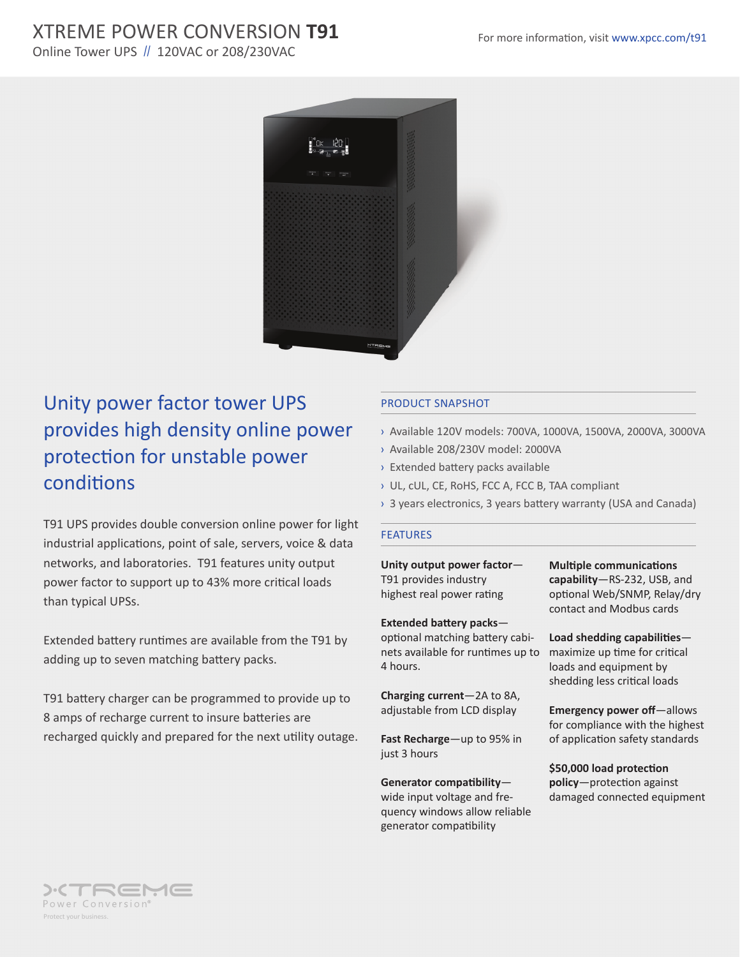## XTREME POWER CONVERSION **T91** For more information, visit www.xpcc.com/t91

Online Tower UPS // 120VAC or 208/230VAC



# Unity power factor tower UPS provides high density online power protection for unstable power conditions

T91 UPS provides double conversion online power for light industrial applications, point of sale, servers, voice & data networks, and laboratories. T91 features unity output power factor to support up to 43% more critical loads than typical UPSs.

Extended battery runtimes are available from the T91 by adding up to seven matching battery packs.

T91 battery charger can be programmed to provide up to 8 amps of recharge current to insure batteries are recharged quickly and prepared for the next utility outage.

### PRODUCT SNAPSHOT

- › Available 120V models: 700VA, 1000VA, 1500VA, 2000VA, 3000VA
- › Available 208/230V model: 2000VA
- › Extended battery packs available
- › UL, cUL, CE, RoHS, FCC A, FCC B, TAA compliant
- › 3 years electronics, 3 years battery warranty (USA and Canada)

#### FEATURES

**Unity output power factor**— T91 provides industry highest real power rating

**Extended battery packs**—

optional matching battery cabinets available for runtimes up to 4 hours.

**Charging current**—2A to 8A, adjustable from LCD display

**Fast Recharge**—up to 95% in just 3 hours

**Generator compatibility** wide input voltage and frequency windows allow reliable generator compatibility

**Multiple communications capability**—RS-232, USB, and optional Web/SNMP, Relay/dry contact and Modbus cards

**Load shedding capabilities** maximize up time for critical loads and equipment by shedding less critical loads

**Emergency power off**—allows for compliance with the highest of application safety standards

**\$50,000 load protection policy**—protection against damaged connected equipment